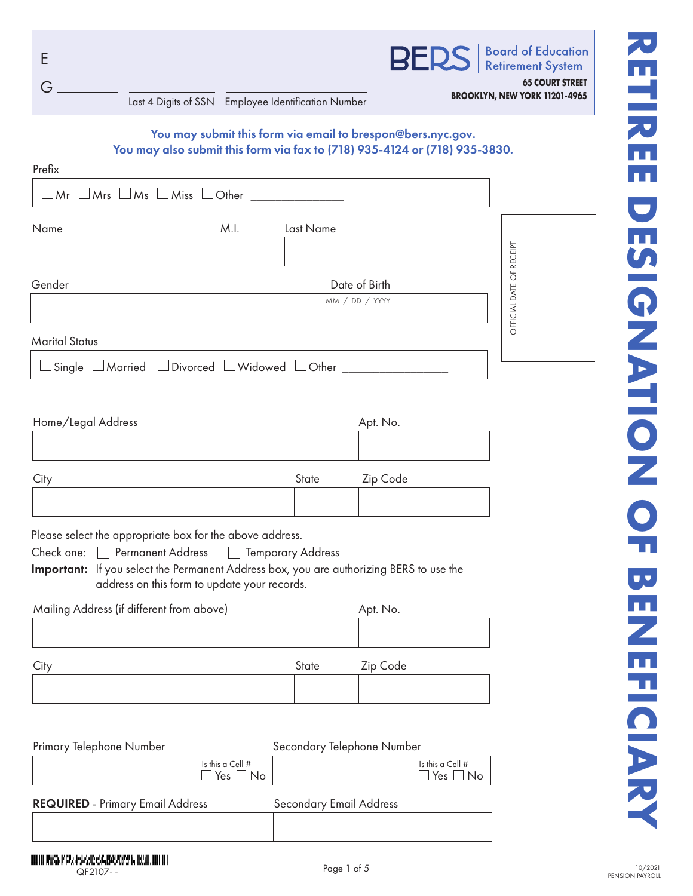|                                                     | <b>BERS</b>   Board of Education                               |
|-----------------------------------------------------|----------------------------------------------------------------|
| Last 4 Digits of SSN Employee Identification Number | <b>65 COURT STREET</b><br><b>BROOKLYN, NEW YORK 11201-4965</b> |

# You may submit this form via email to brespon@bers.nyc.gov. You may also submit this form via fax to (718) 935-4124 or (718) 935-3830.

| Prefix                                                  |      |                |                          |
|---------------------------------------------------------|------|----------------|--------------------------|
| $\Box$ Mr $\Box$ Mrs $\Box$ Ms $\Box$ Miss $\Box$ Other |      |                |                          |
| Name                                                    | M.I. | Last Name      |                          |
|                                                         |      |                |                          |
| Gender                                                  |      | Date of Birth  | OFFICIAL DATE OF RECEIPT |
|                                                         |      | MM / DD / YYYY |                          |
| <b>Marital Status</b>                                   |      |                |                          |
| Single Married DDivorced Widowed Other _____            |      |                |                          |

| Home/Legal Address                                                                      |       | Apt. No. |
|-----------------------------------------------------------------------------------------|-------|----------|
|                                                                                         |       |          |
|                                                                                         |       |          |
| City                                                                                    | State | Zip Code |
|                                                                                         |       |          |
| Please select the appropriate box for the above address.                                |       |          |
| Permanent Address <b>Proposition</b> Temporary Address<br>Check one:                    |       |          |
| Important: If you select the Permanent Address box, you are authorizing BERS to use the |       |          |
| address on this form to update your records.                                            |       |          |
| Mailing Address (if different from above)                                               |       | Apt. No. |
|                                                                                         |       |          |
|                                                                                         |       |          |

| City | State | Zip Code |
|------|-------|----------|
|      |       |          |

| Primary Telephone Number                |                                            | Secondary Telephone Number     |                                            |
|-----------------------------------------|--------------------------------------------|--------------------------------|--------------------------------------------|
|                                         | Is this a Cell $#$<br>$\Box$ Yes $\Box$ No |                                | Is this a Cell $#$<br>$\Box$ Yes $\Box$ No |
| <b>REQUIRED</b> - Primary Email Address |                                            | <b>Secondary Email Address</b> |                                            |
|                                         |                                            |                                |                                            |

# **RETIREE DESIGNATION DESIGNATIONS アロコカEE** DESIGNATION OF BE Ż EFICIAR

INDIA PRED PRESENTATIONS BELONG IN BUSINESS IN QF2107- - QF2107- -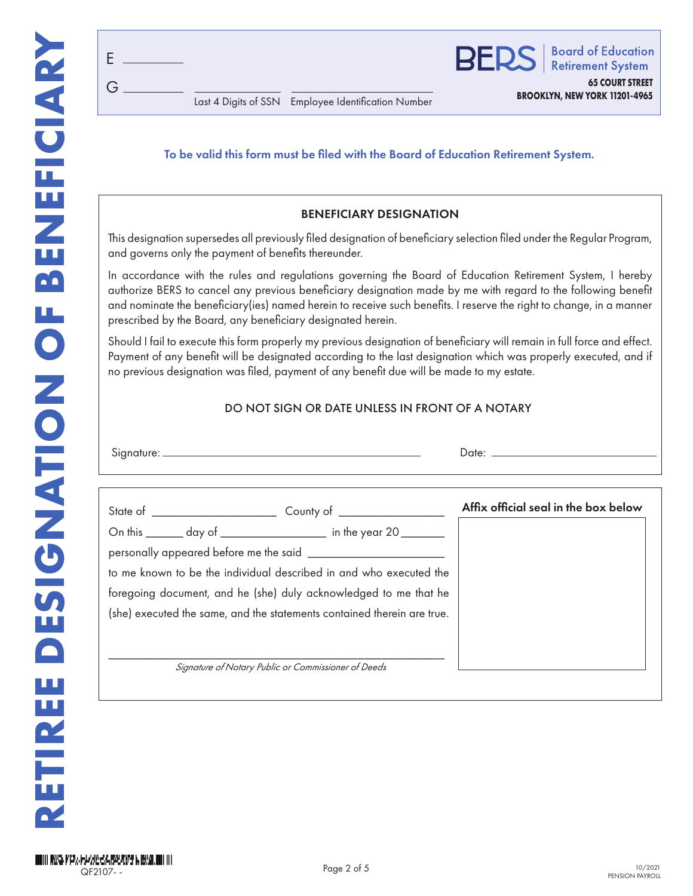G E

### To be valid this form must be filed with the Board of Education Retirement System.

### BENEFICIARY DESIGNATION

This designation supersedes all previously filed designation of beneficiary selection filed under the Regular Program, and governs only the payment of benefits thereunder.

In accordance with the rules and regulations governing the Board of Education Retirement System, I hereby authorize BERS to cancel any previous beneficiary designation made by me with regard to the following benefit and nominate the beneficiary(ies) named herein to receive such benefits. I reserve the right to change, in a manner prescribed by the Board, any beneficiary designated herein.

Should I fail to execute this form properly my previous designation of beneficiary will remain in full force and effect. Payment of any benefit will be designated according to the last designation which was properly executed, and if no previous designation was filed, payment of any benefit due will be made to my estate.

### DO NOT SIGN OR DATE UNLESS IN FRONT OF A NOTARY

| $\sim$<br>.<br>Sianature. | ⊃ate:  |
|---------------------------|--------|
|                           | ______ |

|                                                                         | Affix official seal in the box below |
|-------------------------------------------------------------------------|--------------------------------------|
| On this _______ day of __________________ in the year 20 _______        |                                      |
|                                                                         |                                      |
| to me known to be the individual described in and who executed the      |                                      |
| foregoing document, and he (she) duly acknowledged to me that he        |                                      |
| (she) executed the same, and the statements contained therein are true. |                                      |
|                                                                         |                                      |
|                                                                         |                                      |
| Signature of Notary Public or Commissioner of Deeds                     |                                      |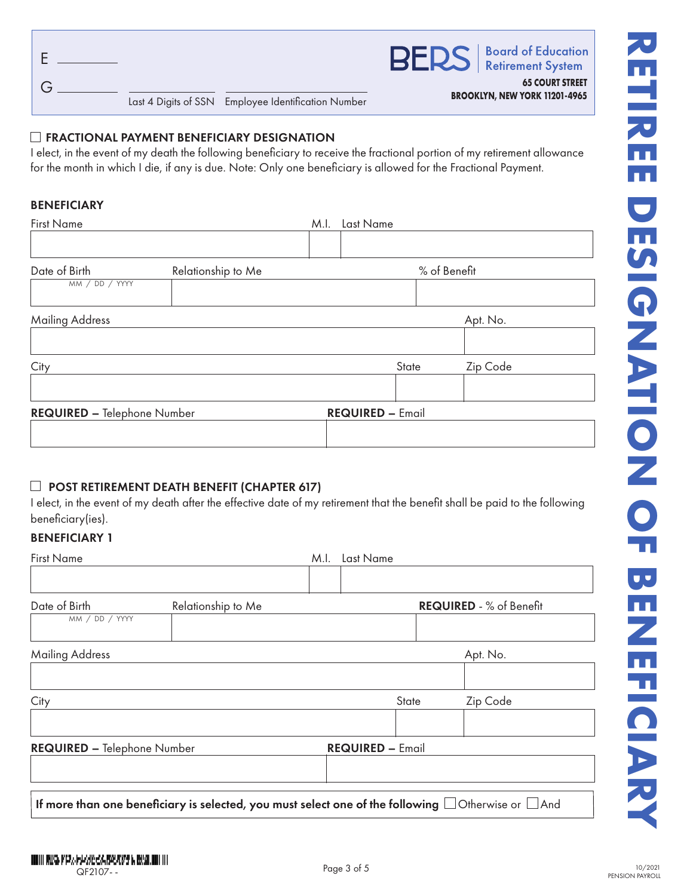|                                                     | <b>BERS</b>   Board of Education                               |
|-----------------------------------------------------|----------------------------------------------------------------|
| Last 4 Digits of SSN Employee Identification Number | <b>65 COURT STREET</b><br><b>BROOKLYN, NEW YORK 11201-4965</b> |

### **EXECTIONAL PAYMENT BENEFICIARY DESIGNATION**

I elect, in the event of my death the following beneficiary to receive the fractional portion of my retirement allowance for the month in which I die, if any is due. Note: Only one beneficiary is allowed for the Fractional Payment.

### BENEFICIARY

| <b>First Name</b>                   |  | M.I. | Last Name               |              |  |
|-------------------------------------|--|------|-------------------------|--------------|--|
|                                     |  |      |                         |              |  |
| Date of Birth<br>Relationship to Me |  |      |                         | % of Benefit |  |
| MM / DD / YYYY                      |  |      |                         |              |  |
| <b>Mailing Address</b>              |  |      |                         | Apt. No.     |  |
|                                     |  |      |                         |              |  |
| City                                |  |      | State                   | Zip Code     |  |
|                                     |  |      |                         |              |  |
| <b>REQUIRED - Telephone Number</b>  |  |      | <b>REQUIRED - Email</b> |              |  |
|                                     |  |      |                         |              |  |

### $\Box$  POST RETIREMENT DEATH BENEFIT (CHAPTER 617)

I elect, in the event of my death after the effective date of my retirement that the benefit shall be paid to the following beneficiary(ies).

# BENEFICIARY 1

| <b>First Name</b>                                                                                             |                    | M.I. | Last Name               |       |                         |
|---------------------------------------------------------------------------------------------------------------|--------------------|------|-------------------------|-------|-------------------------|
| Date of Birth<br>MM / DD / YYYY                                                                               | Relationship to Me |      |                         |       | REQUIRED - % of Benefit |
| <b>Mailing Address</b>                                                                                        |                    |      |                         |       | Apt. No.                |
|                                                                                                               |                    |      |                         |       |                         |
| City                                                                                                          |                    |      |                         | State | Zip Code                |
|                                                                                                               |                    |      |                         |       |                         |
| <b>REQUIRED - Telephone Number</b>                                                                            |                    |      | <b>REQUIRED - Email</b> |       |                         |
|                                                                                                               |                    |      |                         |       |                         |
| If more than one beneficiary is selected, you must select one of the following $\Box$ Otherwise or $\Box$ And |                    |      |                         |       |                         |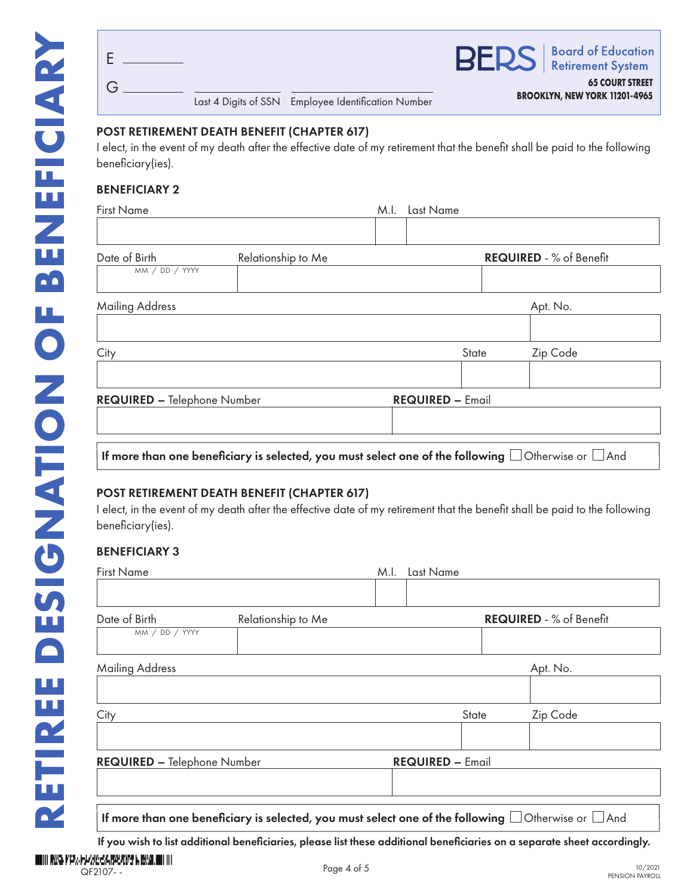|  |                                                     | <b>BERS</b>   Board of Education                               |
|--|-----------------------------------------------------|----------------------------------------------------------------|
|  | Last 4 Digits of SSN Employee Identification Number | <b>65 COURT STREET</b><br><b>BROOKLYN, NEW YORK 11201-4965</b> |

### POST RETIREMENT DEATH BENEFIT (CHAPTER 617)

I elect, in the event of my death after the effective date of my retirement that the benefit shall be paid to the following beneficiary(ies).

# BENEFICIARY 2

| <b>First Name</b>                  |                                                                                                               | M.I. | Last Name               |                                |
|------------------------------------|---------------------------------------------------------------------------------------------------------------|------|-------------------------|--------------------------------|
|                                    |                                                                                                               |      |                         |                                |
| Date of Birth                      | Relationship to Me                                                                                            |      |                         | <b>REQUIRED - % of Benefit</b> |
| MM / DD / YYYY                     |                                                                                                               |      |                         |                                |
| Mailing Address                    |                                                                                                               |      |                         | Apt. No.                       |
|                                    |                                                                                                               |      |                         |                                |
| City                               |                                                                                                               |      | State                   | Zip Code                       |
| <b>REQUIRED - Telephone Number</b> |                                                                                                               |      | <b>REQUIRED - Email</b> |                                |
|                                    |                                                                                                               |      |                         |                                |
|                                    | If more than one beneficiary is selected, you must select one of the following $\Box$ Otherwise or $\Box$ And |      |                         |                                |

### POST RETIREMENT DEATH BENEFIT (CHAPTER 617)

I elect, in the event of my death after the effective date of my retirement that the benefit shall be paid to the following beneficiary(ies).

### BENEFICIARY 3

| <b>First Name</b>                                                                                             |                    | M.I.                    | Last Name |  |          |
|---------------------------------------------------------------------------------------------------------------|--------------------|-------------------------|-----------|--|----------|
|                                                                                                               |                    |                         |           |  |          |
| Date of Birth<br>MM / DD / YYYY                                                                               | Relationship to Me | REQUIRED - % of Benefit |           |  |          |
|                                                                                                               |                    |                         |           |  |          |
| <b>Mailing Address</b>                                                                                        |                    |                         |           |  | Apt. No. |
| City                                                                                                          |                    |                         | State     |  | Zip Code |
| <b>REQUIRED - Telephone Number</b>                                                                            |                    | <b>REQUIRED - Email</b> |           |  |          |
|                                                                                                               |                    |                         |           |  |          |
| If more than one beneficiary is selected, you must select one of the following $\Box$ Otherwise or $\Box$ And |                    |                         |           |  |          |

If you wish to list additional beneficiaries, please list these additional beneficiaries on a separate sheet accordingly.